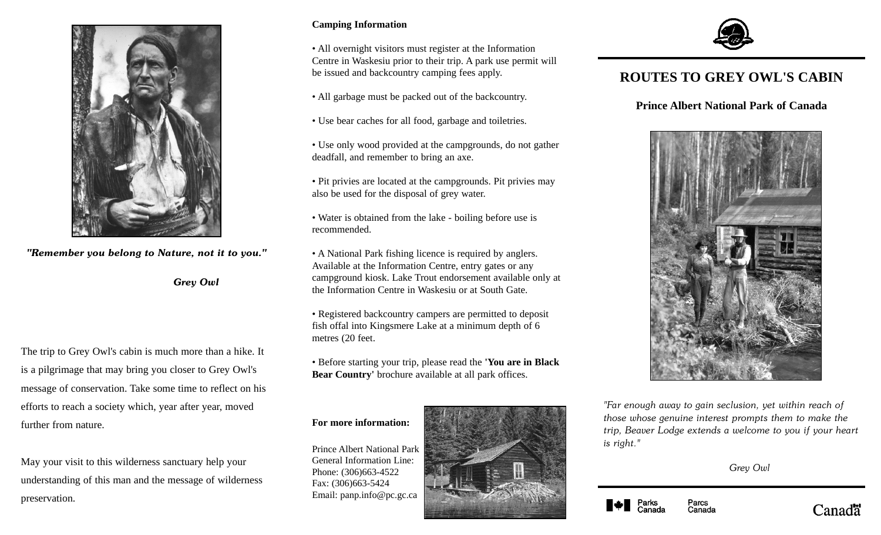

*"Remember you belong to Nature, not it to you."*

*Grey Owl*

The trip to Grey Owl's cabin is much more than a hike. It is a pilgrimage that may bring you closer to Grey Owl's message of conservation. Take some time to reflect on his efforts to reach a society which, year after year, moved further from nature.

May your visit to this wilderness sanctuary help your understanding of this man and the message of wilderness preservation.

## **Camping Information**

• All overnight visitors must register at the Information Centre in Waskesiu prior to their trip. A park use permit will be issued and backcountry camping fees apply.

- All garbage must be packed out of the backcountry.
- Use bear caches for all food, garbage and toiletries.

• Use only wood provided at the campgrounds, do not gather deadfall, and remember to bring an axe.

• Pit privies are located at the campgrounds. Pit privies may also be used for the disposal of grey water.

• Water is obtained from the lake - boiling before use is recommended.

• A National Park fishing licence is required by anglers. Available at the Information Centre, entry gates or any campground kiosk. Lake Trout endorsement available only at the Information Centre in Waskesiu or at South Gate.

• Registered backcountry campers are permitted to deposit fish offal into Kingsmere Lake at a minimum depth of 6 metres (20 feet.

• Before starting your trip, please read the **'You are in Black Bear Country'** brochure available at all park offices.

# **For more information:**

Prince Albert National Park General Information Line: Phone: (306)663-4522 Fax: (306)663-5424 Email: panp.info@pc.gc.ca





# **ROUTES TO GREY OWL'S CABIN**

## **Prince Albert National Park of Canada**



*"Far enough away to gain seclusion, yet within reach of those whose genuine interest prompts them to make the trip, Beaver Lodge extends a welcome to you if your heart is right."*

Parcs

Canada

*Grey Owl*